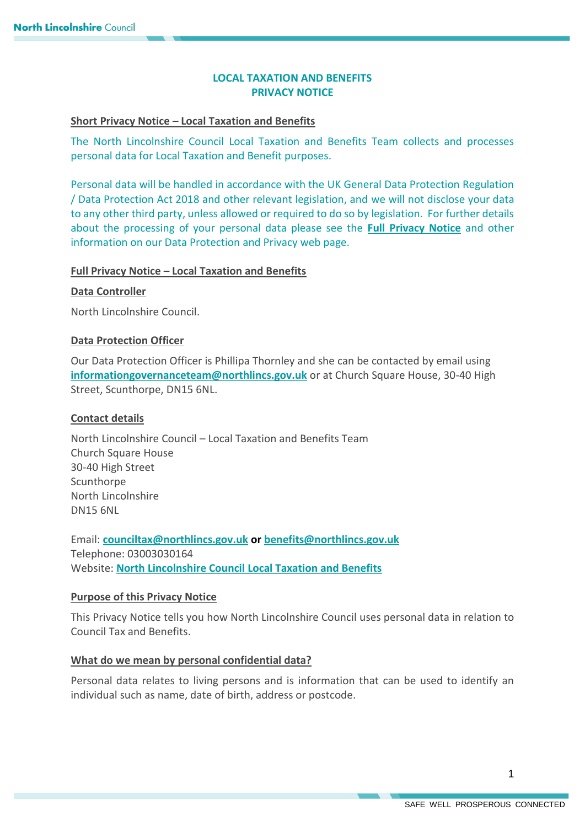# **LOCAL TAXATION AND BENEFITS PRIVACY NOTICE**

## **Short Privacy Notice – Local Taxation and Benefits**

The North Lincolnshire Council Local Taxation and Benefits Team collects and processes personal data for Local Taxation and Benefit purposes.

Personal data will be handled in accordance with the UK General Data Protection Regulation / Data Protection Act 2018 and other relevant legislation, and we will not disclose your data to any other third party, unless allowed or required to do so by legislation. For further details about the processing of your personal data please see the **[Full Privacy Notice](https://www.northlincs.gov.uk/your-council/about-your-council/information-and-performance/information-governance/data-protection-and-privacy/)** and other information on our Data Protection and Privacy web page.

## **Full Privacy Notice – Local Taxation and Benefits**

#### **Data Controller**

North Lincolnshire Council.

## **Data Protection Officer**

Our Data Protection Officer is Phillipa Thornley and she can be contacted by email using **[informationgovernanceteam@northlincs.gov.uk](mailto:informationgovernanceteam@northlincs.gov.uk)** or at Church Square House, 30-40 High Street, Scunthorpe, DN15 6NL.

### **Contact details**

North Lincolnshire Council – Local Taxation and Benefits Team Church Square House 30-40 High Street **Scunthorpe** North Lincolnshire DN15 6NL

Email: **[counciltax@northlincs.gov.uk](mailto:counciltax@northlincs.gov.uk) o[r benefits@northlincs.gov.uk](mailto:benefits@northlincs.gov.uk)** Telephone: 03003030164 Website: **[North Lincolnshire Council Local Taxation and Benefits](https://www.northlincs.gov.uk/council-tax-benefits-and-housing/)**

#### **Purpose of this Privacy Notice**

This Privacy Notice tells you how North Lincolnshire Council uses personal data in relation to Council Tax and Benefits.

#### **What do we mean by personal confidential data?**

Personal data relates to living persons and is information that can be used to identify an individual such as name, date of birth, address or postcode.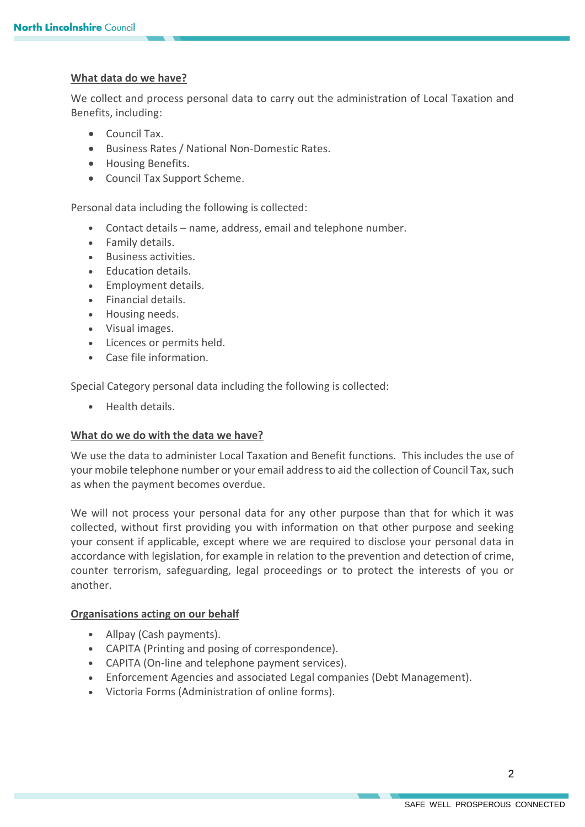## **What data do we have?**

We collect and process personal data to carry out the administration of Local Taxation and Benefits, including:

- Council Tax.
- Business Rates / National Non-Domestic Rates.
- Housing Benefits.
- Council Tax Support Scheme.

Personal data including the following is collected:

- Contact details name, address, email and telephone number.
- Family details.
- Business activities.
- Fducation details.
- Employment details.
- Financial details.
- Housing needs.
- Visual images.
- Licences or permits held.
- Case file information.

Special Category personal data including the following is collected:

**•** Health details.

#### **What do we do with the data we have?**

We use the data to administer Local Taxation and Benefit functions. This includes the use of your mobile telephone number or your email address to aid the collection of Council Tax, such as when the payment becomes overdue.

We will not process your personal data for any other purpose than that for which it was collected, without first providing you with information on that other purpose and seeking your consent if applicable, except where we are required to disclose your personal data in accordance with legislation, for example in relation to the prevention and detection of crime, counter terrorism, safeguarding, legal proceedings or to protect the interests of you or another.

#### **Organisations acting on our behalf**

- Allpay (Cash payments).
- CAPITA (Printing and posing of correspondence).
- CAPITA (On-line and telephone payment services).
- Enforcement Agencies and associated Legal companies (Debt Management).
- Victoria Forms (Administration of online forms).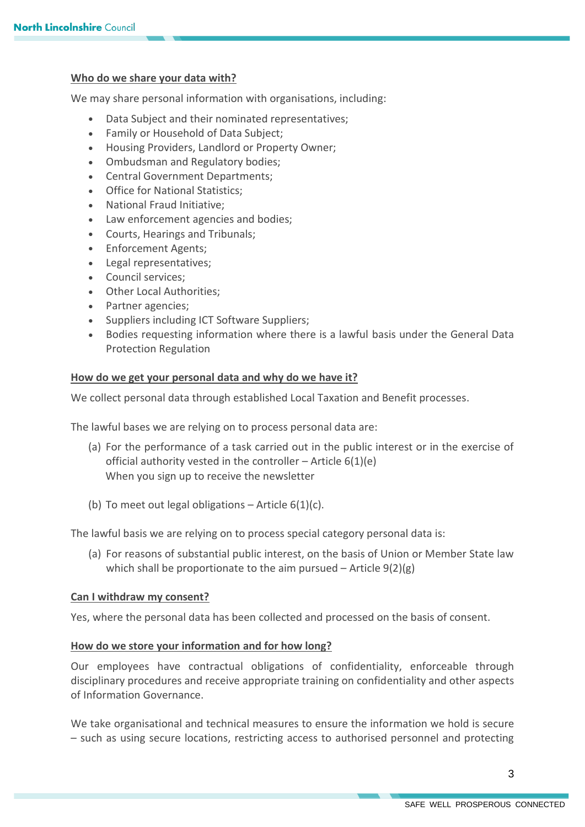## **Who do we share your data with?**

We may share personal information with organisations, including:

- Data Subject and their nominated representatives;
- Family or Household of Data Subject;
- Housing Providers, Landlord or Property Owner:
- Ombudsman and Regulatory bodies;
- Central Government Departments;
- Office for National Statistics;
- National Fraud Initiative;
- Law enforcement agencies and bodies;
- Courts, Hearings and Tribunals;
- Enforcement Agents;
- Legal representatives;
- Council services;
- Other Local Authorities;
- Partner agencies;
- Suppliers including ICT Software Suppliers;
- Bodies requesting information where there is a lawful basis under the General Data Protection Regulation

#### **How do we get your personal data and why do we have it?**

We collect personal data through established Local Taxation and Benefit processes.

The lawful bases we are relying on to process personal data are:

- (a) For the performance of a task carried out in the public interest or in the exercise of official authority vested in the controller – Article  $6(1)(e)$ When you sign up to receive the newsletter
- (b) To meet out legal obligations Article  $6(1)(c)$ .

The lawful basis we are relying on to process special category personal data is:

(a) For reasons of substantial public interest, on the basis of Union or Member State law which shall be proportionate to the aim pursued  $-$  Article  $9(2)(g)$ 

#### **Can I withdraw my consent?**

Yes, where the personal data has been collected and processed on the basis of consent.

#### **How do we store your information and for how long?**

Our employees have contractual obligations of confidentiality, enforceable through disciplinary procedures and receive appropriate training on confidentiality and other aspects of Information Governance.

We take organisational and technical measures to ensure the information we hold is secure – such as using secure locations, restricting access to authorised personnel and protecting